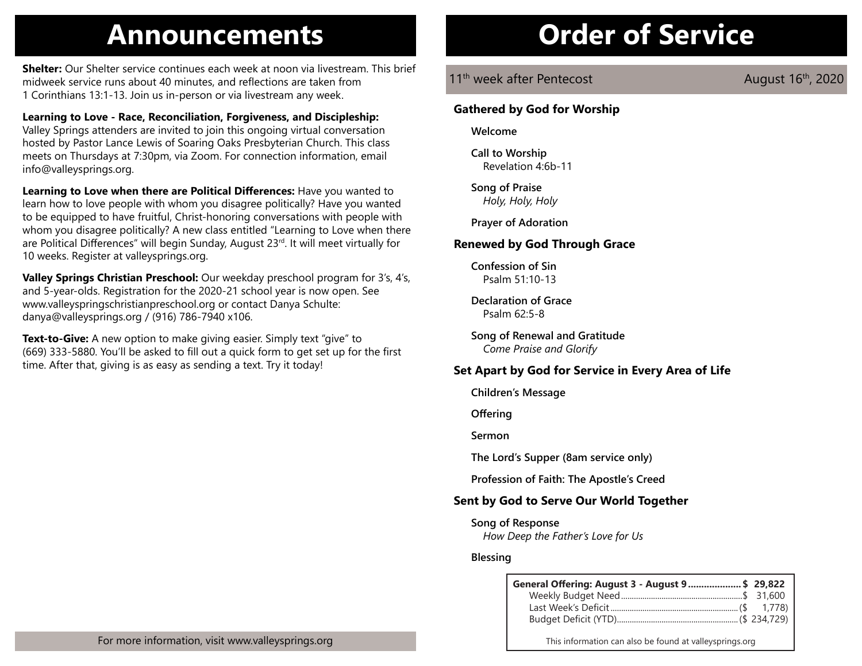# **Announcements Order of Service**

**Shelter:** Our Shelter service continues each week at noon via livestream. This brief midweek service runs about 40 minutes, and reflections are taken from 1 Corinthians 13:1-13. Join us in-person or via livestream any week.

**Learning to Love - Race, Reconciliation, Forgiveness, and Discipleship:** Valley Springs attenders are invited to join this ongoing virtual conversation hosted by Pastor Lance Lewis of Soaring Oaks Presbyterian Church. This class meets on Thursdays at 7:30pm, via Zoom. For connection information, email info@valleysprings.org.

**Learning to Love when there are Political Differences:** Have you wanted to learn how to love people with whom you disagree politically? Have you wanted to be equipped to have fruitful, Christ-honoring conversations with people with whom you disagree politically? A new class entitled "Learning to Love when there are Political Differences" will begin Sunday, August 23rd. It will meet virtually for 10 weeks. Register at valleysprings.org.

**Valley Springs Christian Preschool:** Our weekday preschool program for 3's, 4's, and 5-year-olds. Registration for the 2020-21 school year is now open. See www.valleyspringschristianpreschool.org or contact Danya Schulte: danya@valleysprings.org / (916) 786-7940 x106.

**Text-to-Give:** A new option to make giving easier. Simply text "give" to (669) 333-5880. You'll be asked to fill out a quick form to get set up for the first time. After that, giving is as easy as sending a text. Try it today!

11<sup>th</sup> week after Pentecost **August 16th, 2020** 

## **Gathered by God for Worship**

**Welcome**

**Call to Worship** Revelation 4:6b-11

**Song of Praise** *Holy, Holy, Holy*

**Prayer of Adoration**

## **Renewed by God Through Grace**

**Confession of Sin** Psalm 51:10-13

**Declaration of Grace** Psalm 62:5-8

**Song of Renewal and Gratitude** *Come Praise and Glorify*

## **Set Apart by God for Service in Every Area of Life**

**Children's Message**

**Offering**

**Sermon**

**The Lord's Supper (8am service only)**

**Profession of Faith: The Apostle's Creed**

## **Sent by God to Serve Our World Together**

### **Song of Response**

*How Deep the Father's Love for Us*

## **Blessing**

| General Offering: August 3 - August 9 \$ 29,822 |  |
|-------------------------------------------------|--|
|                                                 |  |
|                                                 |  |
|                                                 |  |

This information can also be found at valleysprings.org